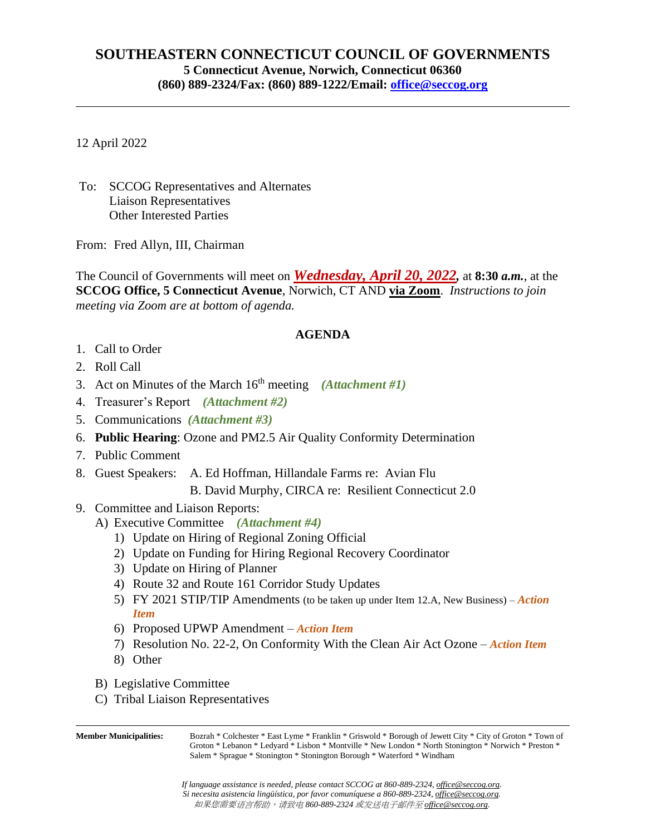## **SOUTHEASTERN CONNECTICUT COUNCIL OF GOVERNMENTS 5 Connecticut Avenue, Norwich, Connecticut 06360 (860) 889-2324/Fax: (860) 889-1222/Email: [office@seccog.org](mailto:seccog@snet.net)**

12 April 2022

To: SCCOG Representatives and Alternates Liaison Representatives Other Interested Parties

From: Fred Allyn, III, Chairman

The Council of Governments will meet on *Wednesday, April 20, 2022,* at **8:30** *a.m.*, at the **SCCOG Office, 5 Connecticut Avenue**, Norwich, CT AND **via Zoom**. *Instructions to join meeting via Zoom are at bottom of agenda.*

## **AGENDA**

- 1. Call to Order
- 2. Roll Call
- 3. Act on Minutes of the March 16th meeting *(Attachment #1)*
- 4. Treasurer's Report *(Attachment #2)*
- 5. Communications *(Attachment #3)*
- 6. **Public Hearing**: Ozone and PM2.5 Air Quality Conformity Determination
- 7. Public Comment
- 8. Guest Speakers: A. Ed Hoffman, Hillandale Farms re: Avian Flu
	- B. David Murphy, CIRCA re: Resilient Connecticut 2.0
- 9. Committee and Liaison Reports:
	- A) Executive Committee *(Attachment #4)*
		- 1) Update on Hiring of Regional Zoning Official
		- 2) Update on Funding for Hiring Regional Recovery Coordinator
		- 3) Update on Hiring of Planner
		- 4) Route 32 and Route 161 Corridor Study Updates
		- 5) FY 2021 STIP/TIP Amendments (to be taken up under Item 12.A, New Business) *Action Item*
		- 6) Proposed UPWP Amendment *Action Item*
		- 7) Resolution No. 22-2, On Conformity With the Clean Air Act Ozone *Action Item*
		- 8) Other
	- B) Legislative Committee
	- C) Tribal Liaison Representatives

**Member Municipalities:** Bozrah \* Colchester \* East Lyme \* Franklin \* Griswold \* Borough of Jewett City \* City of Groton \* Town of Groton \* Lebanon \* Ledyard \* Lisbon \* Montville \* New London \* North Stonington \* Norwich \* Preston \* Salem \* Sprague \* Stonington \* Stonington Borough \* Waterford \* Windham